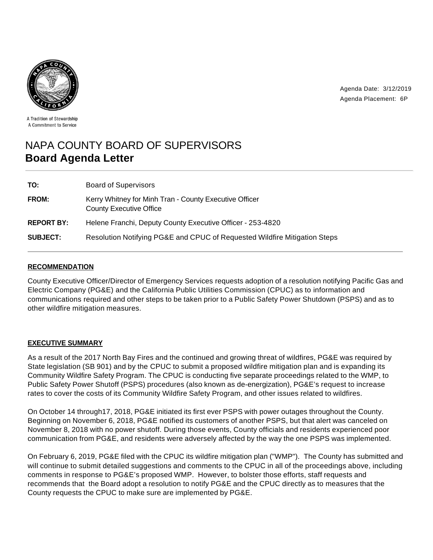

Agenda Date: 3/12/2019 Agenda Placement: 6P

A Tradition of Stewardship A Commitment to Service

# NAPA COUNTY BOARD OF SUPERVISORS **Board Agenda Letter**

| TO:               | <b>Board of Supervisors</b>                                                              |
|-------------------|------------------------------------------------------------------------------------------|
| <b>FROM:</b>      | Kerry Whitney for Minh Tran - County Executive Officer<br><b>County Executive Office</b> |
| <b>REPORT BY:</b> | Helene Franchi, Deputy County Executive Officer - 253-4820                               |
| <b>SUBJECT:</b>   | Resolution Notifying PG&E and CPUC of Requested Wildfire Mitigation Steps                |

# **RECOMMENDATION**

County Executive Officer/Director of Emergency Services requests adoption of a resolution notifying Pacific Gas and Electric Company (PG&E) and the California Public Utilities Commission (CPUC) as to information and communications required and other steps to be taken prior to a Public Safety Power Shutdown (PSPS) and as to other wildfire mitigation measures.

# **EXECUTIVE SUMMARY**

As a result of the 2017 North Bay Fires and the continued and growing threat of wildfires, PG&E was required by State legislation (SB 901) and by the CPUC to submit a proposed wildfire mitigation plan and is expanding its Community Wildfire Safety Program. The CPUC is conducting five separate proceedings related to the WMP, to Public Safety Power Shutoff (PSPS) procedures (also known as de-energization), PG&E's request to increase rates to cover the costs of its Community Wildfire Safety Program, and other issues related to wildfires.

On October 14 through17, 2018, PG&E initiated its first ever PSPS with power outages throughout the County. Beginning on November 6, 2018, PG&E notified its customers of another PSPS, but that alert was canceled on November 8, 2018 with no power shutoff. During those events, County officials and residents experienced poor communication from PG&E, and residents were adversely affected by the way the one PSPS was implemented.

On February 6, 2019, PG&E filed with the CPUC its wildfire mitigation plan ("WMP"). The County has submitted and will continue to submit detailed suggestions and comments to the CPUC in all of the proceedings above, including comments in response to PG&E's proposed WMP. However, to bolster those efforts, staff requests and recommends that the Board adopt a resolution to notify PG&E and the CPUC directly as to measures that the County requests the CPUC to make sure are implemented by PG&E.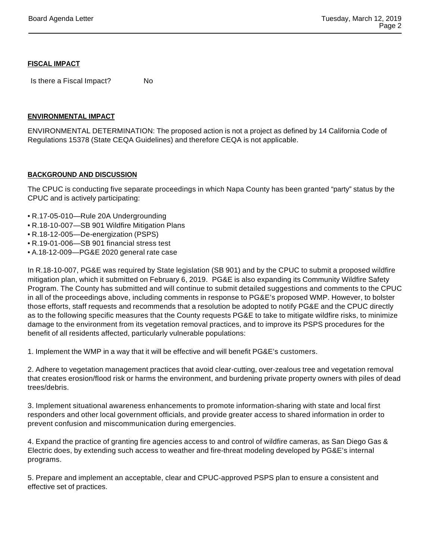#### **FISCAL IMPACT**

Is there a Fiscal Impact? No

# **ENVIRONMENTAL IMPACT**

ENVIRONMENTAL DETERMINATION: The proposed action is not a project as defined by 14 California Code of Regulations 15378 (State CEQA Guidelines) and therefore CEQA is not applicable.

# **BACKGROUND AND DISCUSSION**

The CPUC is conducting five separate proceedings in which Napa County has been granted "party" status by the CPUC and is actively participating:

- R.17-05-010—Rule 20A Undergrounding
- R.18-10-007—SB 901 Wildfire Mitigation Plans
- R.18-12-005—De-energization (PSPS)
- R.19-01-006—SB 901 financial stress test
- A.18-12-009—PG&E 2020 general rate case

In R.18-10-007, PG&E was required by State legislation (SB 901) and by the CPUC to submit a proposed wildfire mitigation plan, which it submitted on February 6, 2019. PG&E is also expanding its Community Wildfire Safety Program. The County has submitted and will continue to submit detailed suggestions and comments to the CPUC in all of the proceedings above, including comments in response to PG&E's proposed WMP. However, to bolster those efforts, staff requests and recommends that a resolution be adopted to notify PG&E and the CPUC directly as to the following specific measures that the County requests PG&E to take to mitigate wildfire risks, to minimize damage to the environment from its vegetation removal practices, and to improve its PSPS procedures for the benefit of all residents affected, particularly vulnerable populations:

1. Implement the WMP in a way that it will be effective and will benefit PG&E's customers.

2. Adhere to vegetation management practices that avoid clear-cutting, over-zealous tree and vegetation removal that creates erosion/flood risk or harms the environment, and burdening private property owners with piles of dead trees/debris.

3. Implement situational awareness enhancements to promote information-sharing with state and local first responders and other local government officials, and provide greater access to shared information in order to prevent confusion and miscommunication during emergencies.

4. Expand the practice of granting fire agencies access to and control of wildfire cameras, as San Diego Gas & Electric does, by extending such access to weather and fire-threat modeling developed by PG&E's internal programs.

5. Prepare and implement an acceptable, clear and CPUC-approved PSPS plan to ensure a consistent and effective set of practices.